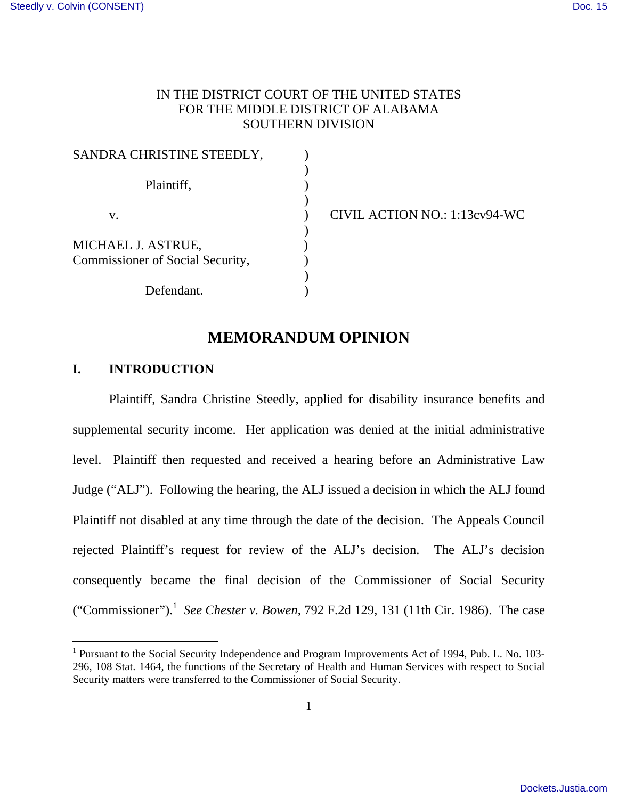## IN THE DISTRICT COURT OF THE UNITED STATES FOR THE MIDDLE DISTRICT OF ALABAMA SOUTHERN DIVISION

| SANDRA CHRISTINE STEEDLY,        |  |
|----------------------------------|--|
|                                  |  |
| Plaintiff,                       |  |
|                                  |  |
| V.                               |  |
|                                  |  |
| MICHAEL J. ASTRUE,               |  |
| Commissioner of Social Security, |  |
|                                  |  |
| Defendant.                       |  |

v. ) CIVIL ACTION NO.: 1:13cv94-WC

# **MEMORANDUM OPINION**

## **I. INTRODUCTION**

<u>.</u>

 Plaintiff, Sandra Christine Steedly, applied for disability insurance benefits and supplemental security income. Her application was denied at the initial administrative level. Plaintiff then requested and received a hearing before an Administrative Law Judge ("ALJ"). Following the hearing, the ALJ issued a decision in which the ALJ found Plaintiff not disabled at any time through the date of the decision. The Appeals Council rejected Plaintiff's request for review of the ALJ's decision. The ALJ's decision consequently became the final decision of the Commissioner of Social Security ("Commissioner").<sup>1</sup> *See Chester v. Bowen*, 792 F.2d 129, 131 (11th Cir. 1986). The case

<sup>&</sup>lt;sup>1</sup> Pursuant to the Social Security Independence and Program Improvements Act of 1994, Pub. L. No. 103-296, 108 Stat. 1464, the functions of the Secretary of Health and Human Services with respect to Social Security matters were transferred to the Commissioner of Social Security.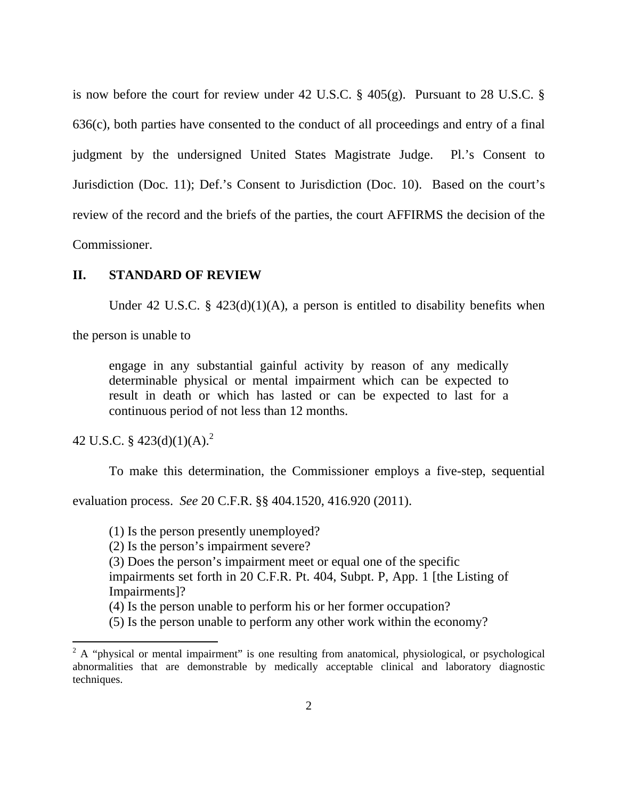is now before the court for review under 42 U.S.C. § 405(g). Pursuant to 28 U.S.C. § 636(c), both parties have consented to the conduct of all proceedings and entry of a final judgment by the undersigned United States Magistrate Judge. Pl.'s Consent to Jurisdiction (Doc. 11); Def.'s Consent to Jurisdiction (Doc. 10). Based on the court's review of the record and the briefs of the parties, the court AFFIRMS the decision of the Commissioner.

## **II. STANDARD OF REVIEW**

Under 42 U.S.C. §  $423(d)(1)(A)$ , a person is entitled to disability benefits when

the person is unable to

engage in any substantial gainful activity by reason of any medically determinable physical or mental impairment which can be expected to result in death or which has lasted or can be expected to last for a continuous period of not less than 12 months.

42 U.S.C. §  $423(d)(1)(A)<sup>2</sup>$ 

<u>.</u>

To make this determination, the Commissioner employs a five-step, sequential

evaluation process. *See* 20 C.F.R. §§ 404.1520, 416.920 (2011).

(1) Is the person presently unemployed?

(2) Is the person's impairment severe?

(3) Does the person's impairment meet or equal one of the specific

impairments set forth in 20 C.F.R. Pt. 404, Subpt. P, App. 1 [the Listing of Impairments]?

(4) Is the person unable to perform his or her former occupation?

(5) Is the person unable to perform any other work within the economy?

 $2^2$  A "physical or mental impairment" is one resulting from anatomical, physiological, or psychological abnormalities that are demonstrable by medically acceptable clinical and laboratory diagnostic techniques.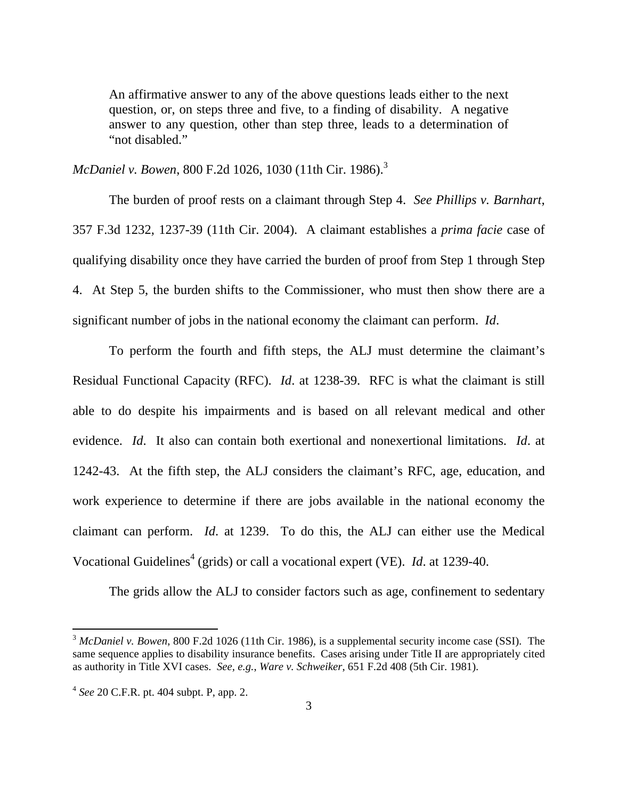An affirmative answer to any of the above questions leads either to the next question, or, on steps three and five, to a finding of disability. A negative answer to any question, other than step three, leads to a determination of "not disabled."

*McDaniel v. Bowen, 800 F.2d 1026, 1030 (11th Cir. 1986).*<sup>3</sup>

 The burden of proof rests on a claimant through Step 4. *See Phillips v. Barnhart*, 357 F.3d 1232, 1237-39 (11th Cir. 2004). A claimant establishes a *prima facie* case of qualifying disability once they have carried the burden of proof from Step 1 through Step 4. At Step 5, the burden shifts to the Commissioner, who must then show there are a significant number of jobs in the national economy the claimant can perform. *Id*.

 To perform the fourth and fifth steps, the ALJ must determine the claimant's Residual Functional Capacity (RFC). *Id*. at 1238-39. RFC is what the claimant is still able to do despite his impairments and is based on all relevant medical and other evidence. *Id*. It also can contain both exertional and nonexertional limitations. *Id*. at 1242-43. At the fifth step, the ALJ considers the claimant's RFC, age, education, and work experience to determine if there are jobs available in the national economy the claimant can perform. *Id*. at 1239. To do this, the ALJ can either use the Medical Vocational Guidelines<sup>4</sup> (grids) or call a vocational expert (VE). *Id.* at 1239-40.

The grids allow the ALJ to consider factors such as age, confinement to sedentary

 $\overline{a}$ 

<sup>3</sup> *McDaniel v. Bowen*, 800 F.2d 1026 (11th Cir. 1986), is a supplemental security income case (SSI). The same sequence applies to disability insurance benefits. Cases arising under Title II are appropriately cited as authority in Title XVI cases. *See, e.g.*, *Ware v. Schweiker*, 651 F.2d 408 (5th Cir. 1981).

<sup>4</sup> *See* 20 C.F.R. pt. 404 subpt. P, app. 2.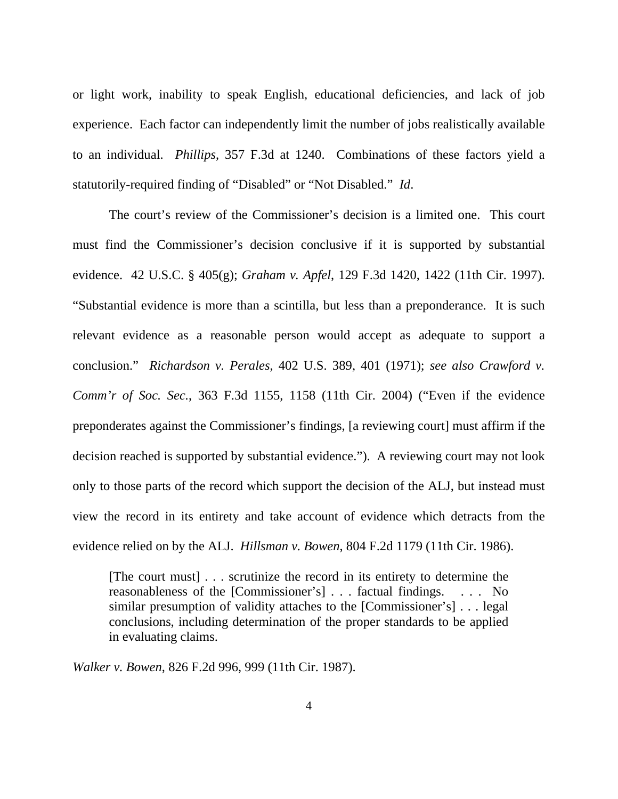or light work, inability to speak English, educational deficiencies, and lack of job experience. Each factor can independently limit the number of jobs realistically available to an individual. *Phillips*, 357 F.3d at 1240. Combinations of these factors yield a statutorily-required finding of "Disabled" or "Not Disabled." *Id*.

 The court's review of the Commissioner's decision is a limited one. This court must find the Commissioner's decision conclusive if it is supported by substantial evidence. 42 U.S.C. § 405(g); *Graham v. Apfel*, 129 F.3d 1420, 1422 (11th Cir. 1997). "Substantial evidence is more than a scintilla, but less than a preponderance. It is such relevant evidence as a reasonable person would accept as adequate to support a conclusion." *Richardson v. Perales*, 402 U.S. 389, 401 (1971); *see also Crawford v. Comm'r of Soc. Sec.*, 363 F.3d 1155, 1158 (11th Cir. 2004) ("Even if the evidence preponderates against the Commissioner's findings, [a reviewing court] must affirm if the decision reached is supported by substantial evidence."). A reviewing court may not look only to those parts of the record which support the decision of the ALJ, but instead must view the record in its entirety and take account of evidence which detracts from the evidence relied on by the ALJ. *Hillsman v. Bowen*, 804 F.2d 1179 (11th Cir. 1986).

[The court must] . . . scrutinize the record in its entirety to determine the reasonableness of the [Commissioner's] . . . factual findings. . . . No similar presumption of validity attaches to the [Commissioner's] . . . legal conclusions, including determination of the proper standards to be applied in evaluating claims.

*Walker v. Bowen*, 826 F.2d 996, 999 (11th Cir. 1987).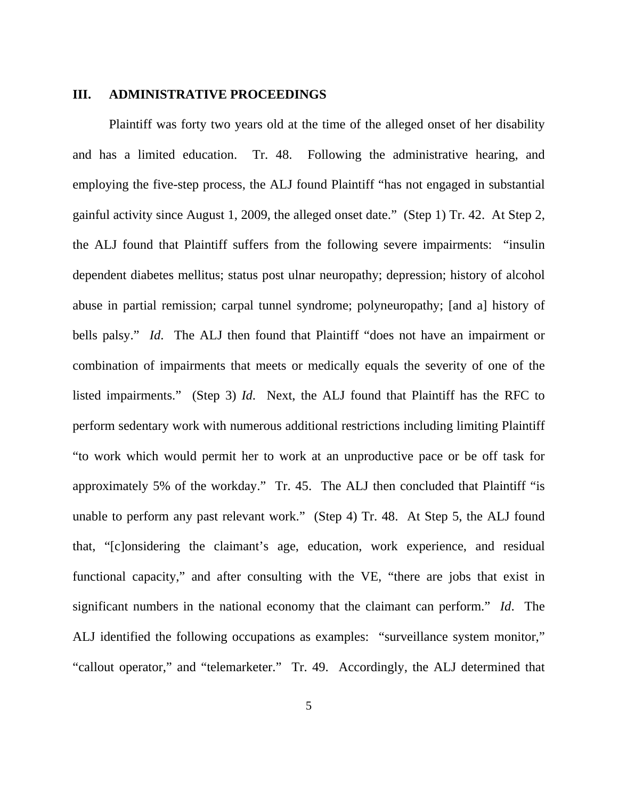#### **III. ADMINISTRATIVE PROCEEDINGS**

 Plaintiff was forty two years old at the time of the alleged onset of her disability and has a limited education. Tr. 48. Following the administrative hearing, and employing the five-step process, the ALJ found Plaintiff "has not engaged in substantial gainful activity since August 1, 2009, the alleged onset date." (Step 1) Tr. 42. At Step 2, the ALJ found that Plaintiff suffers from the following severe impairments: "insulin dependent diabetes mellitus; status post ulnar neuropathy; depression; history of alcohol abuse in partial remission; carpal tunnel syndrome; polyneuropathy; [and a] history of bells palsy." *Id*. The ALJ then found that Plaintiff "does not have an impairment or combination of impairments that meets or medically equals the severity of one of the listed impairments." (Step 3) *Id*. Next, the ALJ found that Plaintiff has the RFC to perform sedentary work with numerous additional restrictions including limiting Plaintiff "to work which would permit her to work at an unproductive pace or be off task for approximately 5% of the workday." Tr. 45. The ALJ then concluded that Plaintiff "is unable to perform any past relevant work." (Step 4) Tr. 48. At Step 5, the ALJ found that, "[c]onsidering the claimant's age, education, work experience, and residual functional capacity," and after consulting with the VE, "there are jobs that exist in significant numbers in the national economy that the claimant can perform." *Id*. The ALJ identified the following occupations as examples: "surveillance system monitor," "callout operator," and "telemarketer." Tr. 49. Accordingly, the ALJ determined that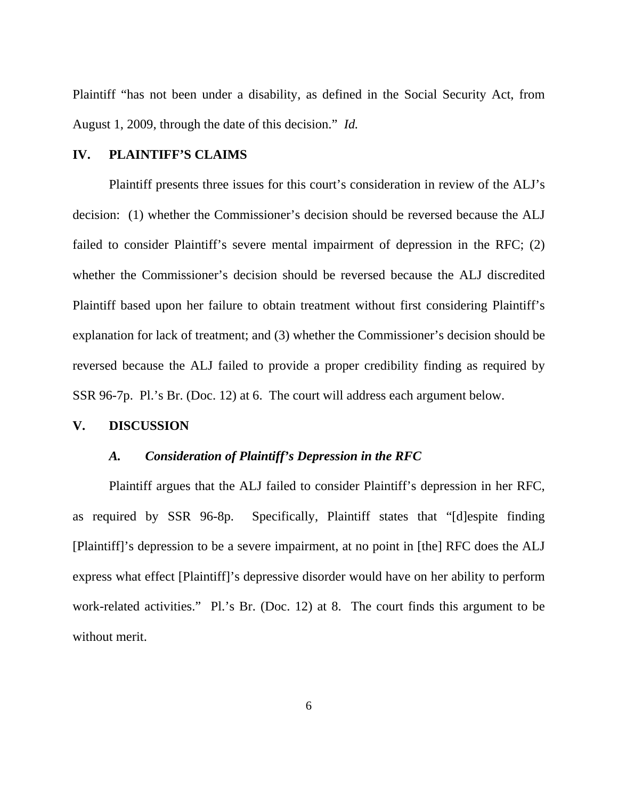Plaintiff "has not been under a disability, as defined in the Social Security Act, from August 1, 2009, through the date of this decision." *Id.*

#### **IV. PLAINTIFF'S CLAIMS**

 Plaintiff presents three issues for this court's consideration in review of the ALJ's decision: (1) whether the Commissioner's decision should be reversed because the ALJ failed to consider Plaintiff's severe mental impairment of depression in the RFC; (2) whether the Commissioner's decision should be reversed because the ALJ discredited Plaintiff based upon her failure to obtain treatment without first considering Plaintiff's explanation for lack of treatment; and (3) whether the Commissioner's decision should be reversed because the ALJ failed to provide a proper credibility finding as required by SSR 96-7p. Pl.'s Br. (Doc. 12) at 6. The court will address each argument below.

#### **V. DISCUSSION**

#### *A. Consideration of Plaintiff's Depression in the RFC*

 Plaintiff argues that the ALJ failed to consider Plaintiff's depression in her RFC, as required by SSR 96-8p. Specifically, Plaintiff states that "[d]espite finding [Plaintiff]'s depression to be a severe impairment, at no point in [the] RFC does the ALJ express what effect [Plaintiff]'s depressive disorder would have on her ability to perform work-related activities." Pl.'s Br. (Doc. 12) at 8. The court finds this argument to be without merit.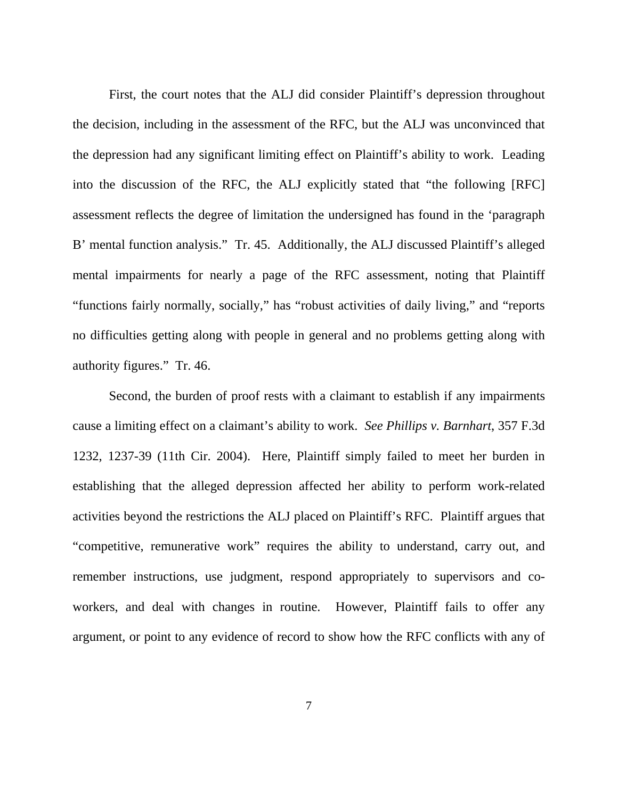First, the court notes that the ALJ did consider Plaintiff's depression throughout the decision, including in the assessment of the RFC, but the ALJ was unconvinced that the depression had any significant limiting effect on Plaintiff's ability to work. Leading into the discussion of the RFC, the ALJ explicitly stated that "the following [RFC] assessment reflects the degree of limitation the undersigned has found in the 'paragraph B' mental function analysis." Tr. 45. Additionally, the ALJ discussed Plaintiff's alleged mental impairments for nearly a page of the RFC assessment, noting that Plaintiff "functions fairly normally, socially," has "robust activities of daily living," and "reports no difficulties getting along with people in general and no problems getting along with authority figures." Tr. 46.

Second, the burden of proof rests with a claimant to establish if any impairments cause a limiting effect on a claimant's ability to work. *See Phillips v. Barnhart*, 357 F.3d 1232, 1237-39 (11th Cir. 2004). Here, Plaintiff simply failed to meet her burden in establishing that the alleged depression affected her ability to perform work-related activities beyond the restrictions the ALJ placed on Plaintiff's RFC. Plaintiff argues that "competitive, remunerative work" requires the ability to understand, carry out, and remember instructions, use judgment, respond appropriately to supervisors and coworkers, and deal with changes in routine. However, Plaintiff fails to offer any argument, or point to any evidence of record to show how the RFC conflicts with any of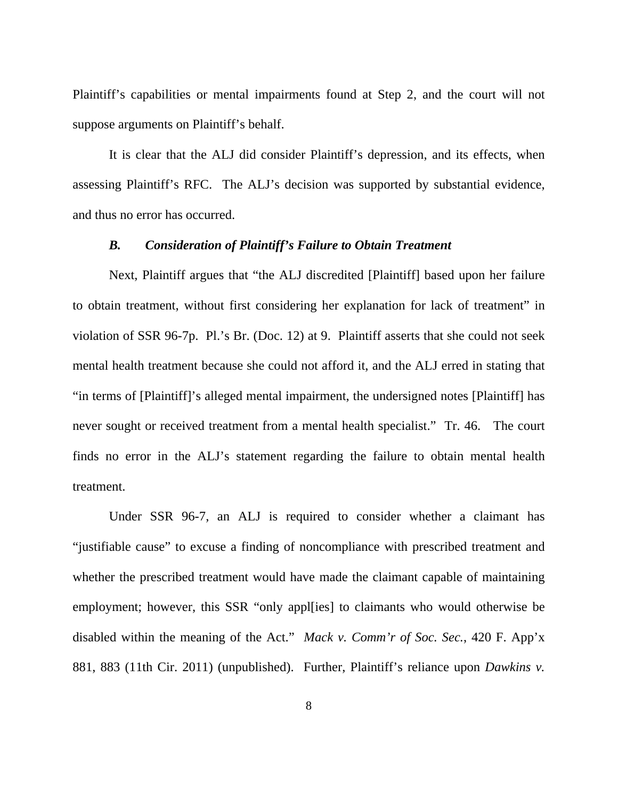Plaintiff's capabilities or mental impairments found at Step 2, and the court will not suppose arguments on Plaintiff's behalf.

It is clear that the ALJ did consider Plaintiff's depression, and its effects, when assessing Plaintiff's RFC. The ALJ's decision was supported by substantial evidence, and thus no error has occurred.

## *B. Consideration of Plaintiff's Failure to Obtain Treatment*

 Next, Plaintiff argues that "the ALJ discredited [Plaintiff] based upon her failure to obtain treatment, without first considering her explanation for lack of treatment" in violation of SSR 96-7p. Pl.'s Br. (Doc. 12) at 9. Plaintiff asserts that she could not seek mental health treatment because she could not afford it, and the ALJ erred in stating that "in terms of [Plaintiff]'s alleged mental impairment, the undersigned notes [Plaintiff] has never sought or received treatment from a mental health specialist." Tr. 46. The court finds no error in the ALJ's statement regarding the failure to obtain mental health treatment.

 Under SSR 96-7, an ALJ is required to consider whether a claimant has "justifiable cause" to excuse a finding of noncompliance with prescribed treatment and whether the prescribed treatment would have made the claimant capable of maintaining employment; however, this SSR "only appl[ies] to claimants who would otherwise be disabled within the meaning of the Act." *Mack v. Comm'r of Soc. Sec.*, 420 F. App'x 881, 883 (11th Cir. 2011) (unpublished). Further, Plaintiff's reliance upon *Dawkins v.*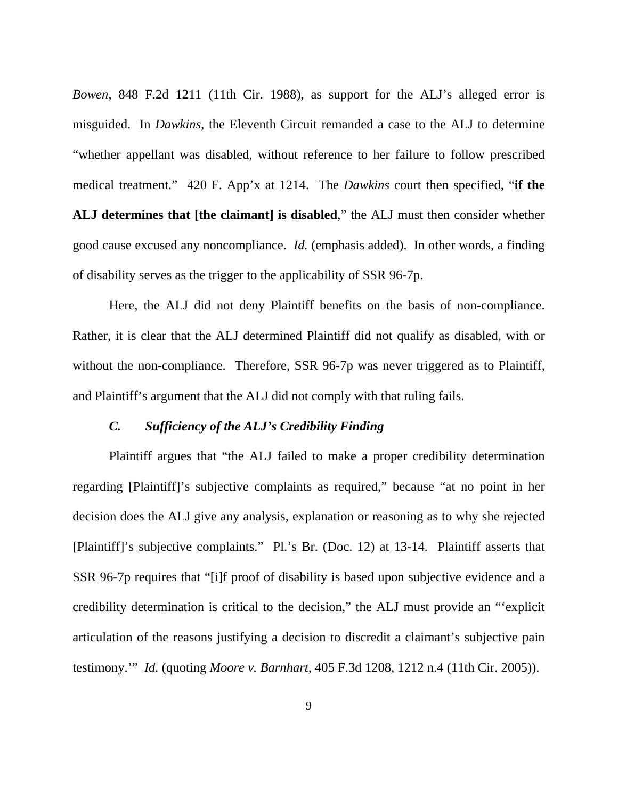*Bowen*, 848 F.2d 1211 (11th Cir. 1988), as support for the ALJ's alleged error is misguided. In *Dawkins*, the Eleventh Circuit remanded a case to the ALJ to determine "whether appellant was disabled, without reference to her failure to follow prescribed medical treatment." 420 F. App'x at 1214. The *Dawkins* court then specified, "**if the ALJ determines that [the claimant] is disabled**," the ALJ must then consider whether good cause excused any noncompliance. *Id.* (emphasis added). In other words, a finding of disability serves as the trigger to the applicability of SSR 96-7p.

 Here, the ALJ did not deny Plaintiff benefits on the basis of non-compliance. Rather, it is clear that the ALJ determined Plaintiff did not qualify as disabled, with or without the non-compliance. Therefore, SSR 96-7p was never triggered as to Plaintiff, and Plaintiff's argument that the ALJ did not comply with that ruling fails.

#### *C. Sufficiency of the ALJ's Credibility Finding*

 Plaintiff argues that "the ALJ failed to make a proper credibility determination regarding [Plaintiff]'s subjective complaints as required," because "at no point in her decision does the ALJ give any analysis, explanation or reasoning as to why she rejected [Plaintiff]'s subjective complaints." Pl.'s Br. (Doc. 12) at 13-14. Plaintiff asserts that SSR 96-7p requires that "[i]f proof of disability is based upon subjective evidence and a credibility determination is critical to the decision," the ALJ must provide an "'explicit articulation of the reasons justifying a decision to discredit a claimant's subjective pain testimony.'" *Id.* (quoting *Moore v. Barnhart*, 405 F.3d 1208, 1212 n.4 (11th Cir. 2005)).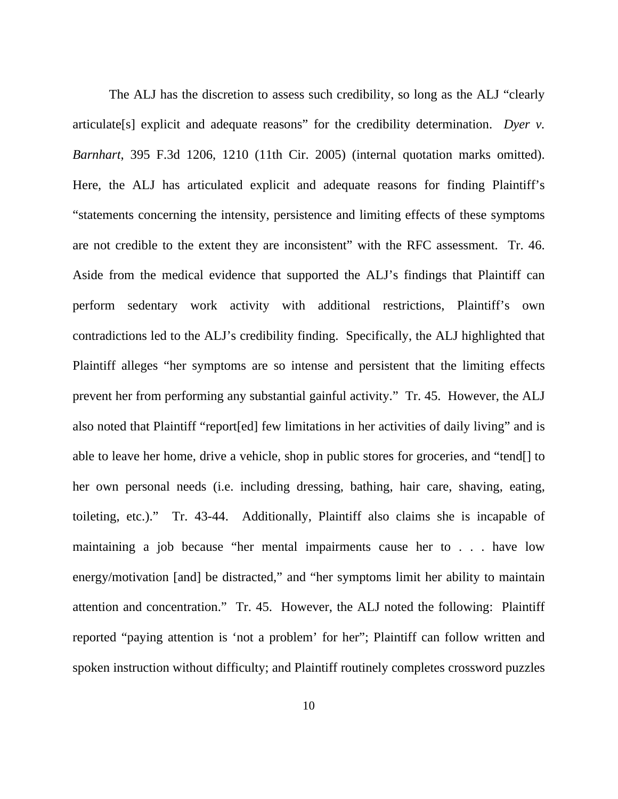The ALJ has the discretion to assess such credibility, so long as the ALJ "clearly articulate[s] explicit and adequate reasons" for the credibility determination. *Dyer v. Barnhart*, 395 F.3d 1206, 1210 (11th Cir. 2005) (internal quotation marks omitted). Here, the ALJ has articulated explicit and adequate reasons for finding Plaintiff's "statements concerning the intensity, persistence and limiting effects of these symptoms are not credible to the extent they are inconsistent" with the RFC assessment. Tr. 46. Aside from the medical evidence that supported the ALJ's findings that Plaintiff can perform sedentary work activity with additional restrictions, Plaintiff's own contradictions led to the ALJ's credibility finding. Specifically, the ALJ highlighted that Plaintiff alleges "her symptoms are so intense and persistent that the limiting effects prevent her from performing any substantial gainful activity." Tr. 45. However, the ALJ also noted that Plaintiff "report[ed] few limitations in her activities of daily living" and is able to leave her home, drive a vehicle, shop in public stores for groceries, and "tend[] to her own personal needs (i.e. including dressing, bathing, hair care, shaving, eating, toileting, etc.)." Tr. 43-44. Additionally, Plaintiff also claims she is incapable of maintaining a job because "her mental impairments cause her to . . . have low energy/motivation [and] be distracted," and "her symptoms limit her ability to maintain attention and concentration." Tr. 45. However, the ALJ noted the following: Plaintiff reported "paying attention is 'not a problem' for her"; Plaintiff can follow written and spoken instruction without difficulty; and Plaintiff routinely completes crossword puzzles